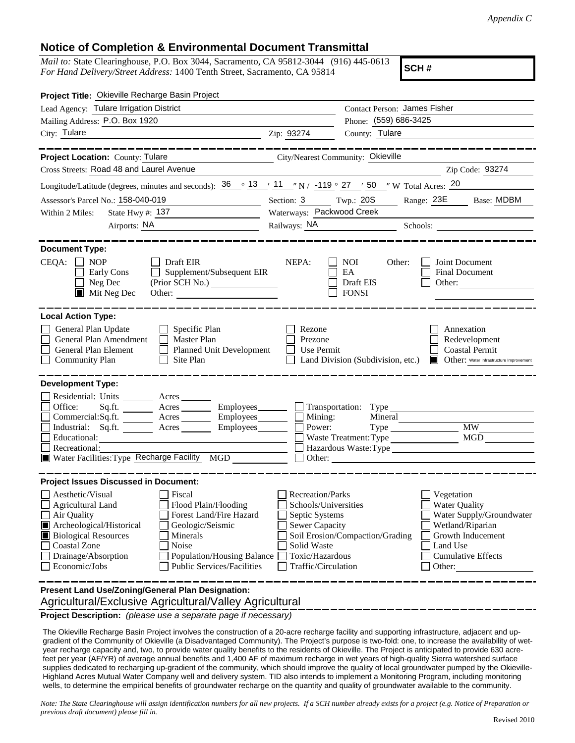## **Notice of Completion & Environmental Document Transmittal**

*Mail to:* State Clearinghouse, P.O. Box 3044, Sacramento, CA 95812-3044 (916) 445-0613 *For Hand Delivery/Street Address:* 1400 Tenth Street, Sacramento, CA 95814

**SCH #**

| Project Title: Okieville Recharge Basin Project                                                                            |                           |                                   |                                              |  |
|----------------------------------------------------------------------------------------------------------------------------|---------------------------|-----------------------------------|----------------------------------------------|--|
| Lead Agency: Tulare Irrigation District                                                                                    |                           |                                   | Contact Person: James Fisher                 |  |
| Mailing Address: P.O. Box 1920                                                                                             |                           |                                   | Phone: (559) 686-3425                        |  |
| City: Tulare<br><u> 1989 - Johann Barn, fransk politik (d. 1989)</u>                                                       | Zip: 93274                | County: Tulare                    |                                              |  |
|                                                                                                                            |                           |                                   |                                              |  |
| Project Location: County: Tulare<br>City/Nearest Community: Okieville                                                      |                           |                                   |                                              |  |
| Cross Streets: Road 48 and Laurel Avenue                                                                                   |                           |                                   | Zip Code: 93274                              |  |
| Longitude/Latitude (degrees, minutes and seconds): $36 \degree 13$ / $11 \degree$ N / -119 ° 27 / 50 ″ W Total Acres: $20$ |                           |                                   |                                              |  |
| Assessor's Parcel No.: 158-040-019                                                                                         | Section: 3 Twp.: 20S      |                                   | Range: 23E Base: MDBM                        |  |
| Within 2 Miles:<br>State Hwy #: $137$                                                                                      | Waterways: Packwood Creek |                                   |                                              |  |
| Airports: NA                                                                                                               |                           |                                   |                                              |  |
|                                                                                                                            |                           |                                   |                                              |  |
| <b>Document Type:</b>                                                                                                      |                           |                                   |                                              |  |
| CEQA:<br><b>NOP</b><br>Draft EIR                                                                                           | NEPA:                     | <b>NOI</b><br>Other:              | Joint Document                               |  |
| Supplement/Subsequent EIR<br>Early Cons<br>$\Box$                                                                          |                           | EA                                | <b>Final Document</b>                        |  |
| Neg Dec<br>(Prior SCH No.)                                                                                                 |                           | Draft EIS                         | Other:                                       |  |
| $\blacksquare$ Mit Neg Dec<br>Other:                                                                                       |                           | <b>FONSI</b>                      |                                              |  |
|                                                                                                                            |                           |                                   |                                              |  |
| <b>Local Action Type:</b>                                                                                                  |                           |                                   |                                              |  |
| General Plan Update<br>$\Box$ Specific Plan                                                                                | Rezone                    |                                   | Annexation                                   |  |
| General Plan Amendment<br>Master Plan                                                                                      | Prezone                   |                                   | Redevelopment                                |  |
| General Plan Element<br><b>Planned Unit Development</b><br>$\perp$                                                         | <b>Use Permit</b>         |                                   | <b>Coastal Permit</b>                        |  |
| $\Box$ Community Plan<br>Site Plan<br>$\mathsf{L}$                                                                         |                           | Land Division (Subdivision, etc.) | Other: Water Infrastructure Improvement<br>Ш |  |
| <b>Development Type:</b>                                                                                                   |                           |                                   |                                              |  |
| Residential: Units ________ Acres _______                                                                                  |                           |                                   |                                              |  |
| $Sq.ft.$ Acres<br>Office:                                                                                                  |                           | Employees Transportation: Type    |                                              |  |
| Commercial:Sq.ft. <u>Acres</u> Acres Employees Commercial:Sq.ft.                                                           |                           | Mineral<br>Mining:                |                                              |  |
| Industrial: Sq.ft. _______ Acres _______ Employees_______                                                                  |                           | Power:<br>Type                    | <b>MW</b>                                    |  |
| Educational:                                                                                                               |                           | Waste Treatment: Type             | <b>MGD</b>                                   |  |
| Recreational:                                                                                                              |                           |                                   | Hazardous Waste: Type                        |  |
| Water Facilities: Type Recharge Facility MGD                                                                               |                           | Other:                            |                                              |  |
| <b>Project Issues Discussed in Document:</b>                                                                               |                           |                                   |                                              |  |
| Aesthetic/Visual<br>Fiscal                                                                                                 | <b>Recreation/Parks</b>   |                                   | Vegetation                                   |  |
| $\Box$ Agricultural Land<br>Flood Plain/Flooding                                                                           |                           | Schools/Universities              | Water Quality                                |  |
| $\Box$ Air Quality<br>Forest Land/Fire Hazard                                                                              | Septic Systems            |                                   | Water Supply/Groundwater                     |  |
| Archeological/Historical<br>Geologic/Seismic                                                                               | Sewer Capacity            |                                   | Wetland/Riparian                             |  |
| <b>Biological Resources</b><br>Minerals                                                                                    |                           | Soil Erosion/Compaction/Grading   | Growth Inducement                            |  |
| <b>Coastal Zone</b><br>Noise                                                                                               | Solid Waste               |                                   | Land Use                                     |  |
| Drainage/Absorption<br>Population/Housing Balance                                                                          | Toxic/Hazardous           |                                   | <b>Cumulative Effects</b>                    |  |
| Economic/Jobs<br><b>Public Services/Facilities</b>                                                                         | Traffic/Circulation       |                                   | Other:                                       |  |
|                                                                                                                            |                           |                                   |                                              |  |
| Present Land Use/Zoning/General Plan Designation:                                                                          |                           |                                   |                                              |  |
| Agricultural/Exclusive Agricultural/Valley Agricultural                                                                    |                           |                                   |                                              |  |

**Project Description:** *(please use a separate page if necessary)*

 The Okieville Recharge Basin Project involves the construction of a 20-acre recharge facility and supporting infrastructure, adjacent and upgradient of the Community of Okieville (a Disadvantaged Community). The Project's purpose is two-fold: one, to increase the availability of wetyear recharge capacity and, two, to provide water quality benefits to the residents of Okieville. The Project is anticipated to provide 630 acrefeet per year (AF/YR) of average annual benefits and 1,400 AF of maximum recharge in wet years of high-quality Sierra watershed surface supplies dedicated to recharging up-gradient of the community, which should improve the quality of local groundwater pumped by the Okieville-Highland Acres Mutual Water Company well and delivery system. TID also intends to implement a Monitoring Program, including monitoring wells, to determine the empirical benefits of groundwater recharge on the quantity and quality of groundwater available to the community.

*Note: The State Clearinghouse will assign identification numbers for all new projects. If a SCH number already exists for a project (e.g. Notice of Preparation or previous draft document) please fill in.*